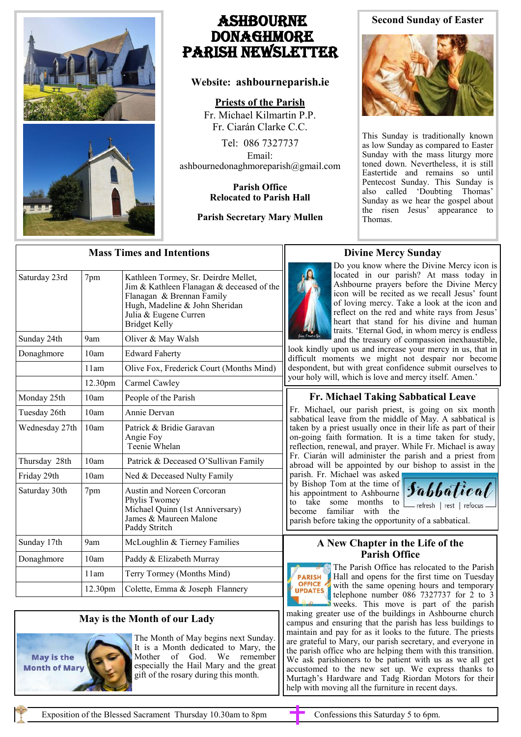

# Ashbourne **DONAGHMORE** Parish NEWSLETTER

## **Website: ashbourneparish.ie**

**Priests of the Parish**

Fr. Michael Kilmartin P.P. Fr. Ciarán Clarke C.C.

Tel: 086 7327737 Email: ashbournedonaghmoreparish@gmail.com

#### **Parish Office Relocated to Parish Hall**

## **Parish Secretary Mary Mullen**

# **Second Sunday of Easter**



This Sunday is traditionally known as low Sunday as compared to Easter Sunday with the mass liturgy more toned down. Nevertheless, it is still Eastertide and remains so until Pentecost Sunday. This Sunday is also called 'Doubting Thomas' Sunday as we hear the gospel about the risen Jesus' appearance to Thomas.

| <b>Mass Times and Intentions</b> |                 |                                                                                                                                                                                                   |
|----------------------------------|-----------------|---------------------------------------------------------------------------------------------------------------------------------------------------------------------------------------------------|
| Saturday 23rd                    | 7pm             | Kathleen Tormey, Sr. Deirdre Mellet,<br>Jim & Kathleen Flanagan & deceased of the<br>Flanagan & Brennan Family<br>Hugh, Madeline & John Sheridan<br>Julia & Eugene Curren<br><b>Bridget Kelly</b> |
| Sunday 24th                      | 9 <sub>am</sub> | Oliver & May Walsh                                                                                                                                                                                |
| Donaghmore                       | 10am            | <b>Edward Faherty</b>                                                                                                                                                                             |
|                                  | 11am            | Olive Fox, Frederick Court (Months Mind)                                                                                                                                                          |
|                                  | 12.30pm         | Carmel Cawley                                                                                                                                                                                     |
| Monday 25th                      | 10am            | People of the Parish                                                                                                                                                                              |
| Tuesday 26th                     | 10am            | Annie Dervan                                                                                                                                                                                      |
| Wednesday 27th                   | 10am            | Patrick & Bridie Garavan<br>Angie Foy<br>Teenie Whelan                                                                                                                                            |
| Thursday 28th                    | 10am            | Patrick & Deceased O'Sullivan Family                                                                                                                                                              |
| Friday 29th                      | 10am            | Ned & Deceased Nulty Family                                                                                                                                                                       |
| Saturday 30th                    | 7pm             | Austin and Noreen Corcoran<br>Phylis Twomey<br>Michael Quinn (1st Anniversary)<br>James & Maureen Malone<br>Paddy Stritch                                                                         |
| Sunday 17th                      | 9am             | McLoughlin & Tierney Families                                                                                                                                                                     |
| Donaghmore                       | 10am            | Paddy & Elizabeth Murray                                                                                                                                                                          |
|                                  | 11am            | Terry Tormey (Months Mind)                                                                                                                                                                        |
|                                  | 12.30pm         | Colette, Emma & Joseph Flannery                                                                                                                                                                   |

# **Divine Mercy Sunday**

Do you know where the Divine Mercy icon is located in our parish? At mass today in Ashbourne prayers before the Divine Mercy icon will be recited as we recall Jesus' fount of loving mercy. Take a look at the icon and reflect on the red and white rays from Jesus' heart that stand for his divine and human traits. 'Eternal God, in whom mercy is endless and the treasury of compassion inexhaustible,

look kindly upon us and increase your mercy in us, that in difficult moments we might not despair nor become despondent, but with great confidence submit ourselves to your holy will, which is love and mercy itself. Amen.'

# **Fr. Michael Taking Sabbatical Leave**

Fr. Michael, our parish priest, is going on six month sabbatical leave from the middle of May. A sabbatical is taken by a priest usually once in their life as part of their on-going faith formation. It is a time taken for study, reflection, renewal, and prayer. While Fr. Michael is away Fr. Ciarán will administer the parish and a priest from abroad will be appointed by our bishop to assist in the

parish. Fr. Michael was asked by Bishop Tom at the time of his appointment to Ashbourne to take some months to become familiar with the



\_ refresh | rest | refocus -

# parish before taking the opportunity of a sabbatical.

### **A New Chapter in the Life of the Parish Office**



The Parish Office has relocated to the Parish Hall and opens for the first time on Tuesday with the same opening hours and temporary telephone number  $08\overline{6}$  7327737 for  $\overline{2}$  to 3 weeks. This move is part of the parish

making greater use of the buildings in Ashbourne church campus and ensuring that the parish has less buildings to maintain and pay for as it looks to the future. The priests are grateful to Mary, our parish secretary, and everyone in the parish office who are helping them with this transition. We ask parishioners to be patient with us as we all get accustomed to the new set up. We express thanks to Murtagh's Hardware and Tadg Riordan Motors for their help with moving all the furniture in recent days.

**May is the Month of Ma**  **May is the Month of our Lady** 

The Month of May begins next Sunday. It is a Month dedicated to Mary, the Mother of God. We remember especially the Hail Mary and the great gift of the rosary during this month.